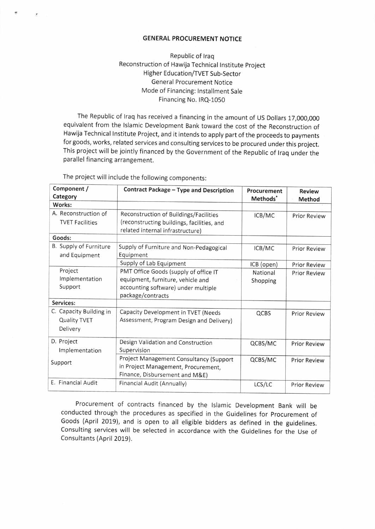## **GENERAL PROCUREMENT NOTICE**

## Republic of Iraq Reconstruction of Hawija Technical lnstitute project Higher Education/TVET Sub-Sector General Procurement Notice Mode of Financing: lnstallment Sale Financing No. IRQ-1050

The Republic of lraq has received a financing in the amount of US Dollars 17,000,000 equivalent from the lslamic Development Bank toward the cost of the Reconstruction of Hawija Technical lnstitute Project, and it intends to apply part of the proceeds to payments for goods, works, related services and consulting services to be procured under this project. This project will be jointly financed by the Government of the Republic of traq under the parallel financing arrangement.

| Component /<br>Category                             | Contract Package - Type and Description                                                                                                | Procurement<br>Methods <sup>*</sup> | <b>Review</b>       |
|-----------------------------------------------------|----------------------------------------------------------------------------------------------------------------------------------------|-------------------------------------|---------------------|
| Works:                                              |                                                                                                                                        |                                     | Method              |
| A. Reconstruction of<br><b>TVET Facilities</b>      | Reconstruction of Buildings/Facilities<br>(reconstructing buildings, facilities, and<br>related internal infrastructure)               | ICB/MC                              | <b>Prior Review</b> |
| Goods:                                              |                                                                                                                                        |                                     |                     |
| B. Supply of Furniture<br>and Equipment             | Supply of Furniture and Non-Pedagogical<br>Equipment                                                                                   | ICB/MC                              | <b>Prior Review</b> |
|                                                     | Supply of Lab Equipment                                                                                                                | ICB (open)                          | <b>Prior Review</b> |
| Project<br>Implementation<br>Support                | PMT Office Goods (supply of office IT<br>equipment, furniture, vehicle and<br>accounting software) under multiple<br>package/contracts | National<br>Shopping                | <b>Prior Review</b> |
| Services:                                           |                                                                                                                                        |                                     |                     |
| C. Capacity Building in<br>Quality TVET<br>Delivery | Capacity Development in TVET (Needs<br>Assessment, Program Design and Delivery)                                                        | QCBS                                | <b>Prior Review</b> |
| D. Project<br>Implementation                        | Design Validation and Construction<br>Supervision                                                                                      | QCBS/MC                             | <b>Prior Review</b> |
| Support                                             | Project Management Consultancy (Support<br>in Project Management, Procurement,<br>Finance, Disbursement and M&E)                       | QCBS/MC                             | <b>Prior Review</b> |
| E. Financial Audit                                  | Financial Audit (Annually)                                                                                                             | LCS/LC                              | <b>Prior Review</b> |

The project will include the following components

Procurement of contracts financed by the lslamic Development Bank will be conducted through the procedures as specified in the Guidelines for procurement of Goods (April 2019), and is open to all eligible bidders as defined in the guidelines. Consulting services will be selected in accordance with the Guidelines for the Use of Consultants (April 2019).